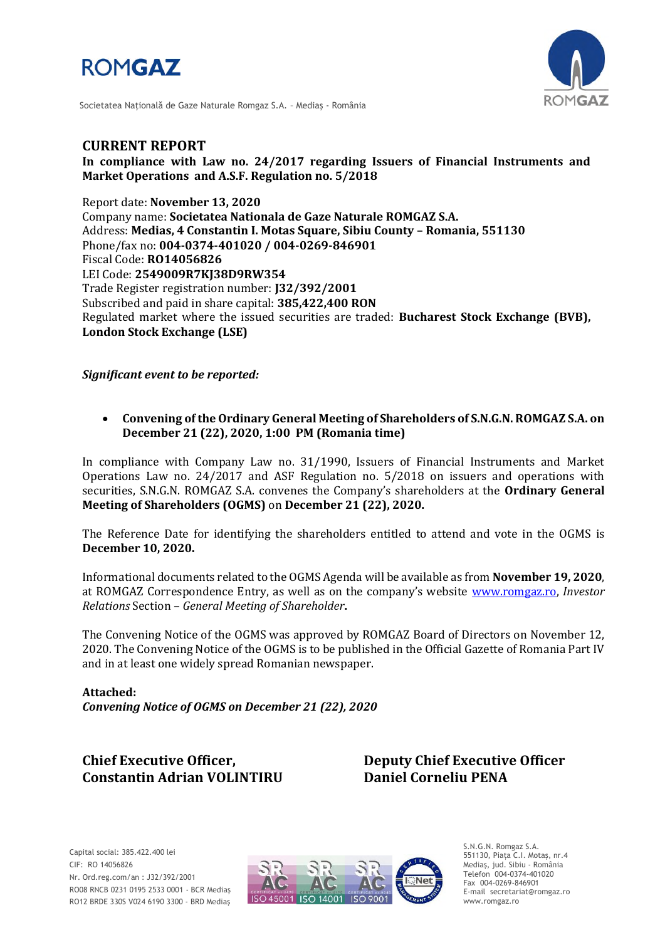



Societatea Naţională de Gaze Naturale Romgaz S.A. – Mediaş - România

# **CURRENT REPORT**

**In compliance with Law no. 24/2017 regarding Issuers of Financial Instruments and Market Operations and A.S.F. Regulation no. 5/2018**

Report date: **November 13, 2020** Company name: **Societatea Nationala de Gaze Naturale ROMGAZ S.A.** Address: **Medias, 4 Constantin I. Motas Square, Sibiu County – Romania, 551130** Phone/fax no: **004-0374-401020 / 004-0269-846901** Fiscal Code: **RO14056826** LEI Code: **2549009R7KJ38D9RW354** Trade Register registration number: **J32/392/2001** Subscribed and paid in share capital: **385,422,400 RON** Regulated market where the issued securities are traded: **Bucharest Stock Exchange (BVB), London Stock Exchange (LSE)**

*Significant event to be reported:*

 **Convening of the Ordinary General Meeting of Shareholders of S.N.G.N. ROMGAZ S.A. on December 21 (22), 2020, 1:00 PM (Romania time)**

In compliance with Company Law no. 31/1990, Issuers of Financial Instruments and Market Operations Law no. 24/2017 and ASF Regulation no. 5/2018 on issuers and operations with securities, S.N.G.N. ROMGAZ S.A. convenes the Company's shareholders at the **Ordinary General Meeting of Shareholders (OGMS)** on **December 21 (22), 2020.**

The Reference Date for identifying the shareholders entitled to attend and vote in the OGMS is **December 10, 2020.**

Informational documents related to the OGMS Agenda will be available as from **November 19, 2020**, at ROMGAZ Correspondence Entry, as well as on the company's website [www.romgaz.ro,](http://www.romgaz.ro/) *Investor Relations* Section – *General Meeting of Shareholder***.**

The Convening Notice of the OGMS was approved by ROMGAZ Board of Directors on November 12, 2020. The Convening Notice of the OGMS is to be published in the Official Gazette of Romania Part IV and in at least one widely spread Romanian newspaper.

**Attached:** *Convening Notice of OGMS on December 21 (22), 2020*

**Constantin Adrian VOLINTIRU Daniel Corneliu PENA**

**Chief Executive Officer, Deputy Chief Executive Officer**



S.N.G.N. Romgaz S.A. 551130, Piața C.I. Motaş, nr.4 Mediaş, jud. Sibiu - România Telefon 004-0374-401020 Fax 004-0269-846901 E-mail secretariat@romgaz.ro www.romgaz.ro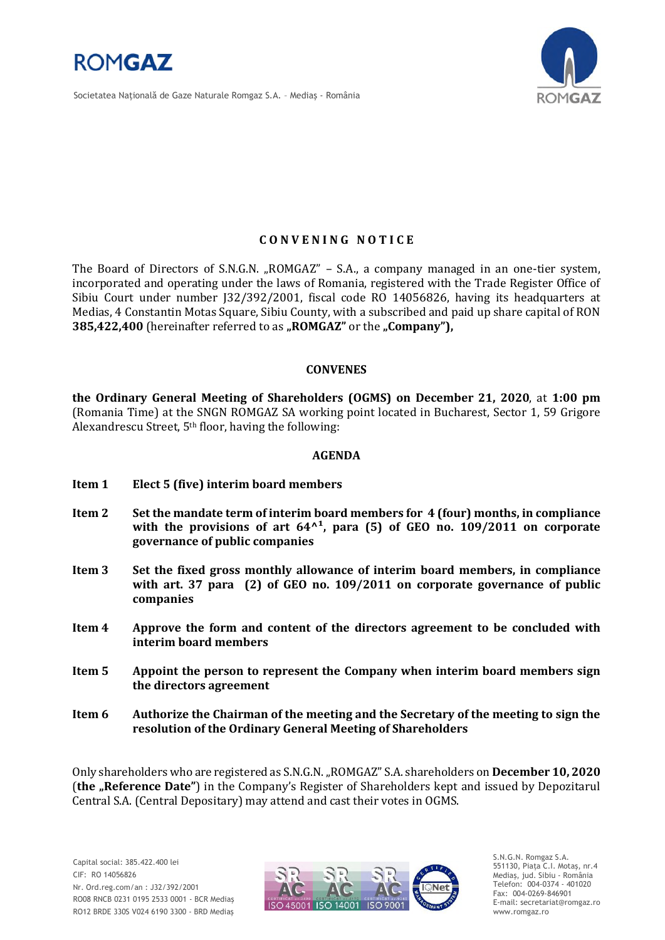

Societatea Naţională de Gaze Naturale Romgaz S.A. – Mediaş - România



### **C O N V E N I N G N O T I C E**

The Board of Directors of S.N.G.N. "ROMGAZ" – S.A., a company managed in an one-tier system, incorporated and operating under the laws of Romania, registered with the Trade Register Office of Sibiu Court under number J32/392/2001, fiscal code RO 14056826, having its headquarters at Medias, 4 Constantin Motas Square, Sibiu County, with a subscribed and paid up share capital of RON **385,422,400** (hereinafter referred to as "ROMGAZ" or the "Company"),

#### **CONVENES**

**the Ordinary General Meeting of Shareholders (OGMS) on December 21, 2020**, at **1:00 pm**  (Romania Time) at the SNGN ROMGAZ SA working point located in Bucharest, Sector 1, 59 Grigore Alexandrescu Street, 5th floor, having the following:

#### **AGENDA**

- **Item 1 Elect 5 (five) interim board members**
- **Item 2 Set the mandate term of interim board members for 4 (four) months, in compliance**  with the provisions of art  $64<sup>1</sup>$ , para (5) of GEO no. 109/2011 on corporate **governance of public companies**
- **Item 3 Set the fixed gross monthly allowance of interim board members, in compliance with art. 37 para (2) of GEO no. 109/2011 on corporate governance of public companies**
- **Item 4 Approve the form and content of the directors agreement to be concluded with interim board members**
- **Item 5 Appoint the person to represent the Company when interim board members sign the directors agreement**
- **Item 6 Authorize the Chairman of the meeting and the Secretary of the meeting to sign the resolution of the Ordinary General Meeting of Shareholders**

Only shareholders who are registered as S.N.G.N. "ROMGAZ" S.A. shareholders on **December 10, 2020** (**the "Reference Date"**) in the Company's Register of Shareholders kept and issued by Depozitarul Central S.A. (Central Depositary) may attend and cast their votes in OGMS.



S.N.G.N. Romgaz S.A. 551130, Piața C.I. Motaş, nr.4 Mediaş, jud. Sibiu - România Telefon: 004-0374 - 401020 Fax: 004-0269-846901 E-mail: secretariat@romgaz.ro www.romgaz.ro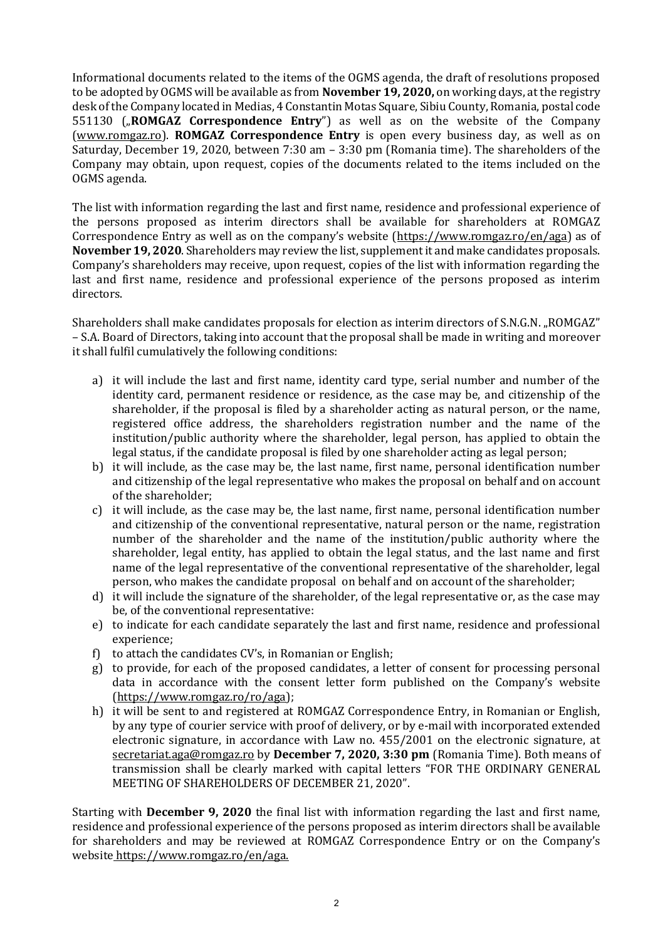Informational documents related to the items of the OGMS agenda, the draft of resolutions proposed to be adopted by OGMS will be available as from **November 19, 2020,** on working days, at the registry desk of the Company located in Medias, 4 Constantin Motas Square, Sibiu County, Romania, postal code 551130 ("**ROMGAZ Correspondence Entry**") as well as on the website of the Company [\(www.romgaz.ro\)](http://www.romgaz.ro/). **ROMGAZ Correspondence Entry** is open every business day, as well as on Saturday, December 19, 2020, between 7:30 am – 3:30 pm (Romania time). The shareholders of the Company may obtain, upon request, copies of the documents related to the items included on the OGMS agenda.

The list with information regarding the last and first name, residence and professional experience of the persons proposed as interim directors shall be available for shareholders at ROMGAZ Correspondence Entry as well as on the company's website ([https://www.romgaz.ro/en/aga\)](https://www.romgaz.ro/en/aga) as of **November 19, 2020**. Shareholders may review the list, supplement it and make candidates proposals. Company's shareholders may receive, upon request, copies of the list with information regarding the last and first name, residence and professional experience of the persons proposed as interim directors.

Shareholders shall make candidates proposals for election as interim directors of S.N.G.N. "ROMGAZ" – S.A. Board of Directors, taking into account that the proposal shall be made in writing and moreover it shall fulfil cumulatively the following conditions:

- a) it will include the last and first name, identity card type, serial number and number of the identity card, permanent residence or residence, as the case may be, and citizenship of the shareholder, if the proposal is filed by a shareholder acting as natural person, or the name, registered office address, the shareholders registration number and the name of the institution/public authority where the shareholder, legal person, has applied to obtain the legal status, if the candidate proposal is filed by one shareholder acting as legal person;
- b) it will include, as the case may be, the last name, first name, personal identification number and citizenship of the legal representative who makes the proposal on behalf and on account of the shareholder;
- c) it will include, as the case may be, the last name, first name, personal identification number and citizenship of the conventional representative, natural person or the name, registration number of the shareholder and the name of the institution/public authority where the shareholder, legal entity, has applied to obtain the legal status, and the last name and first name of the legal representative of the conventional representative of the shareholder, legal person, who makes the candidate proposal on behalf and on account of the shareholder;
- d) it will include the signature of the shareholder, of the legal representative or, as the case may be, of the conventional representative:
- e) to indicate for each candidate separately the last and first name, residence and professional experience;
- f) to attach the candidates CV's, in Romanian or English;
- g) to provide, for each of the proposed candidates, a letter of consent for processing personal data in accordance with the consent letter form published on the Company's website [\(https://www.romgaz.ro/ro/aga\)](https://www.romgaz.ro/ro/aga);
- h) it will be sent to and registered at ROMGAZ Correspondence Entry, in Romanian or English, by any type of courier service with proof of delivery, or by e-mail with incorporated extended electronic signature, in accordance with Law no. 455/2001 on the electronic signature, at [secretariat.aga@romgaz.ro](mailto:secretariat.aga%40romgaz.ro) by **December 7, 2020, 3:30 pm** (Romania Time). Both means of transmission shall be clearly marked with capital letters "FOR THE ORDINARY GENERAL MEETING OF SHAREHOLDERS OF DECEMBER 21, 2020".

Starting with **December 9, 2020** the final list with information regarding the last and first name, residence and professional experience of the persons proposed as interim directors shall be available for shareholders and may be reviewed at ROMGAZ Correspondence Entry or on the Company's website [https://www.romgaz.ro/en/aga.](https://www.romgaz.ro/en/aga)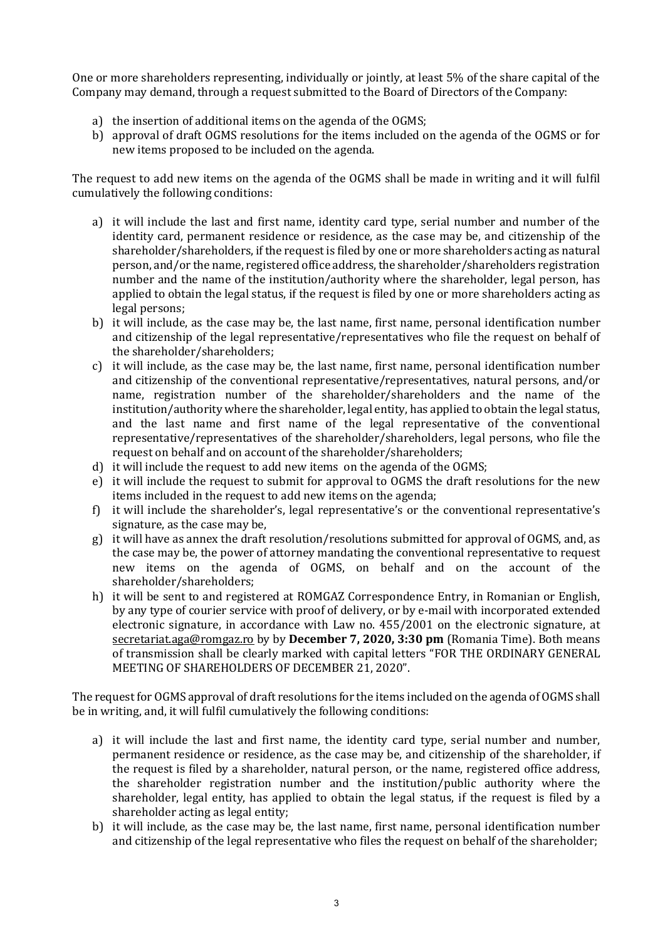One or more shareholders representing, individually or jointly, at least 5% of the share capital of the Company may demand, through a request submitted to the Board of Directors of the Company:

- a) the insertion of additional items on the agenda of the OGMS;
- b) approval of draft OGMS resolutions for the items included on the agenda of the OGMS or for new items proposed to be included on the agenda.

The request to add new items on the agenda of the OGMS shall be made in writing and it will fulfil cumulatively the following conditions:

- a) it will include the last and first name, identity card type, serial number and number of the identity card, permanent residence or residence, as the case may be, and citizenship of the shareholder/shareholders, if the request is filed by one or more shareholders acting as natural person, and/or the name, registered office address, the shareholder/shareholders registration number and the name of the institution/authority where the shareholder, legal person, has applied to obtain the legal status, if the request is filed by one or more shareholders acting as legal persons;
- b) it will include, as the case may be, the last name, first name, personal identification number and citizenship of the legal representative/representatives who file the request on behalf of the shareholder/shareholders;
- c) it will include, as the case may be, the last name, first name, personal identification number and citizenship of the conventional representative/representatives, natural persons, and/or name, registration number of the shareholder/shareholders and the name of the institution/authority where the shareholder, legal entity, has applied to obtain the legal status, and the last name and first name of the legal representative of the conventional representative/representatives of the shareholder/shareholders, legal persons, who file the request on behalf and on account of the shareholder/shareholders;
- d) it will include the request to add new items on the agenda of the OGMS;
- e) it will include the request to submit for approval to OGMS the draft resolutions for the new items included in the request to add new items on the agenda;
- f) it will include the shareholder's, legal representative's or the conventional representative's signature, as the case may be,
- g) it will have as annex the draft resolution/resolutions submitted for approval of OGMS, and, as the case may be, the power of attorney mandating the conventional representative to request new items on the agenda of OGMS, on behalf and on the account of the shareholder/shareholders;
- h) it will be sent to and registered at ROMGAZ Correspondence Entry, in Romanian or English, by any type of courier service with proof of delivery, or by e-mail with incorporated extended electronic signature, in accordance with Law no. 455/2001 on the electronic signature, at [secretariat.aga@romgaz.ro](mailto:secretariat.aga%40romgaz.ro) by by **December 7, 2020, 3:30 pm** (Romania Time). Both means of transmission shall be clearly marked with capital letters "FOR THE ORDINARY GENERAL MEETING OF SHAREHOLDERS OF DECEMBER 21, 2020".

The request for OGMS approval of draft resolutions for the items included on the agenda of OGMS shall be in writing, and, it will fulfil cumulatively the following conditions:

- a) it will include the last and first name, the identity card type, serial number and number, permanent residence or residence, as the case may be, and citizenship of the shareholder, if the request is filed by a shareholder, natural person, or the name, registered office address, the shareholder registration number and the institution/public authority where the shareholder, legal entity, has applied to obtain the legal status, if the request is filed by a shareholder acting as legal entity;
- b) it will include, as the case may be, the last name, first name, personal identification number and citizenship of the legal representative who files the request on behalf of the shareholder;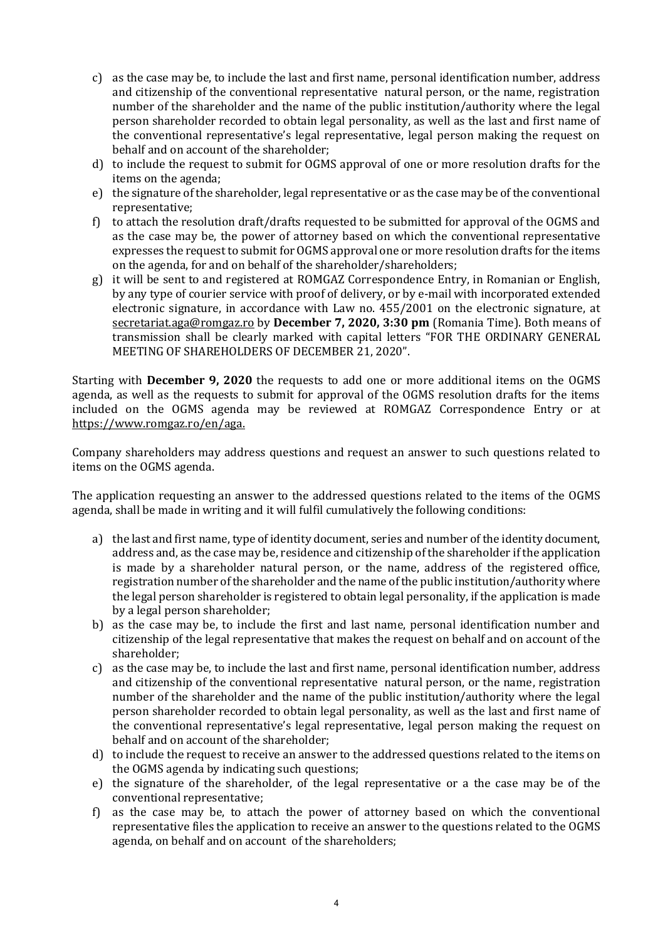- c) as the case may be, to include the last and first name, personal identification number, address and citizenship of the conventional representative natural person, or the name, registration number of the shareholder and the name of the public institution/authority where the legal person shareholder recorded to obtain legal personality, as well as the last and first name of the conventional representative's legal representative, legal person making the request on behalf and on account of the shareholder;
- d) to include the request to submit for OGMS approval of one or more resolution drafts for the items on the agenda;
- e) the signature of the shareholder, legal representative or as the case may be of the conventional representative;
- f) to attach the resolution draft/drafts requested to be submitted for approval of the OGMS and as the case may be, the power of attorney based on which the conventional representative expresses the request to submit for OGMS approval one or more resolution drafts for the items on the agenda, for and on behalf of the shareholder/shareholders;
- g) it will be sent to and registered at ROMGAZ Correspondence Entry, in Romanian or English, by any type of courier service with proof of delivery, or by e-mail with incorporated extended electronic signature, in accordance with Law no. 455/2001 on the electronic signature, at [secretariat.aga@romgaz.ro](mailto:secretariat.aga%40romgaz.ro) by **December 7, 2020, 3:30 pm** (Romania Time). Both means of transmission shall be clearly marked with capital letters "FOR THE ORDINARY GENERAL MEETING OF SHAREHOLDERS OF DECEMBER 21, 2020".

Starting with **December 9, 2020** the requests to add one or more additional items on the OGMS agenda, as well as the requests to submit for approval of the OGMS resolution drafts for the items included on the OGMS agenda may be reviewed at ROMGAZ Correspondence Entry or at [https://www.romgaz.ro/en/aga.](https://www.romgaz.ro/en/aga)

Company shareholders may address questions and request an answer to such questions related to items on the OGMS agenda.

The application requesting an answer to the addressed questions related to the items of the OGMS agenda, shall be made in writing and it will fulfil cumulatively the following conditions:

- a) the last and first name, type of identity document, series and number of the identity document, address and, as the case may be, residence and citizenship of the shareholder if the application is made by a shareholder natural person, or the name, address of the registered office, registration number of the shareholder and the name of the public institution/authority where the legal person shareholder is registered to obtain legal personality, if the application is made by a legal person shareholder;
- b) as the case may be, to include the first and last name, personal identification number and citizenship of the legal representative that makes the request on behalf and on account of the shareholder;
- c) as the case may be, to include the last and first name, personal identification number, address and citizenship of the conventional representative natural person, or the name, registration number of the shareholder and the name of the public institution/authority where the legal person shareholder recorded to obtain legal personality, as well as the last and first name of the conventional representative's legal representative, legal person making the request on behalf and on account of the shareholder;
- d) to include the request to receive an answer to the addressed questions related to the items on the OGMS agenda by indicating such questions;
- e) the signature of the shareholder, of the legal representative or a the case may be of the conventional representative;
- f) as the case may be, to attach the power of attorney based on which the conventional representative files the application to receive an answer to the questions related to the OGMS agenda, on behalf and on account of the shareholders;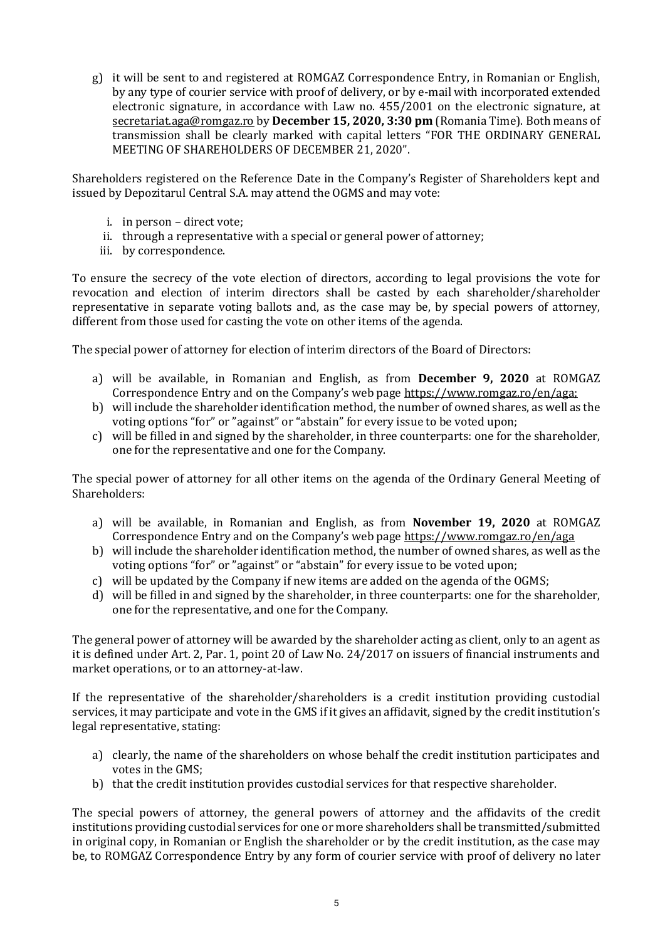g) it will be sent to and registered at ROMGAZ Correspondence Entry, in Romanian or English, by any type of courier service with proof of delivery, or by e-mail with incorporated extended electronic signature, in accordance with Law no. 455/2001 on the electronic signature, at [secretariat.aga@romgaz.ro](mailto:secretariat.aga%40romgaz.ro) by **December 15, 2020, 3:30 pm** (Romania Time). Both means of transmission shall be clearly marked with capital letters "FOR THE ORDINARY GENERAL MEETING OF SHAREHOLDERS OF DECEMBER 21, 2020".

Shareholders registered on the Reference Date in the Company's Register of Shareholders kept and issued by Depozitarul Central S.A. may attend the OGMS and may vote:

- i. in person direct vote;
- ii. through a representative with a special or general power of attorney;
- iii. by correspondence.

To ensure the secrecy of the vote election of directors, according to legal provisions the vote for revocation and election of interim directors shall be casted by each shareholder/shareholder representative in separate voting ballots and, as the case may be, by special powers of attorney, different from those used for casting the vote on other items of the agenda.

The special power of attorney for election of interim directors of the Board of Directors:

- a) will be available, in Romanian and English, as from **December 9, 2020** at ROMGAZ Correspondence Entry and on the Company's web page [https://www.romgaz.ro/en/aga;](https://www.romgaz.ro/en/aga)
- b) will include the shareholder identification method, the number of owned shares, as well as the voting options "for" or "against" or "abstain" for every issue to be voted upon;
- c) will be filled in and signed by the shareholder, in three counterparts: one for the shareholder, one for the representative and one for the Company.

The special power of attorney for all other items on the agenda of the Ordinary General Meeting of Shareholders:

- a) will be available, in Romanian and English, as from **November 19, 2020** at ROMGAZ Correspondence Entry and on the Company's web page <https://www.romgaz.ro/en/aga>
- b) will include the shareholder identification method, the number of owned shares, as well as the voting options "for" or "against" or "abstain" for every issue to be voted upon;
- c) will be updated by the Company if new items are added on the agenda of the OGMS;
- d) will be filled in and signed by the shareholder, in three counterparts: one for the shareholder, one for the representative, and one for the Company.

The general power of attorney will be awarded by the shareholder acting as client, only to an agent as it is defined under Art. 2, Par. 1, point 20 of Law No. 24/2017 on issuers of financial instruments and market operations, or to an attorney-at-law.

If the representative of the shareholder/shareholders is a credit institution providing custodial services, it may participate and vote in the GMS if it gives an affidavit, signed by the credit institution's legal representative, stating:

- a) clearly, the name of the shareholders on whose behalf the credit institution participates and votes in the GMS;
- b) that the credit institution provides custodial services for that respective shareholder.

The special powers of attorney, the general powers of attorney and the affidavits of the credit institutions providing custodial services for one or more shareholders shall be transmitted/submitted in original copy, in Romanian or English the shareholder or by the credit institution, as the case may be, to ROMGAZ Correspondence Entry by any form of courier service with proof of delivery no later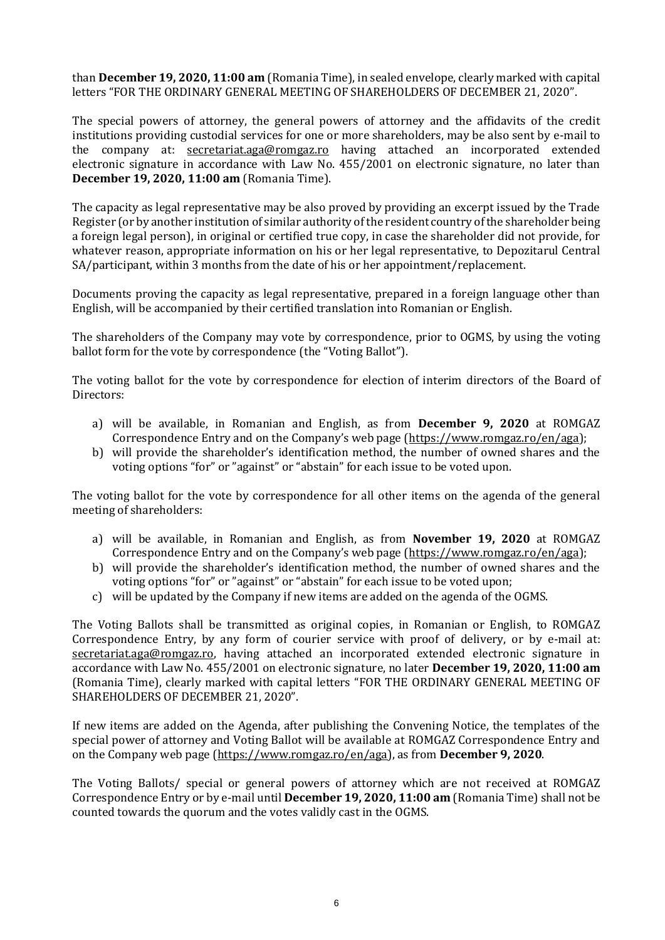than **December 19, 2020, 11:00 am** (Romania Time), in sealed envelope, clearly marked with capital letters "FOR THE ORDINARY GENERAL MEETING OF SHAREHOLDERS OF DECEMBER 21, 2020".

The special powers of attorney, the general powers of attorney and the affidavits of the credit institutions providing custodial services for one or more shareholders, may be also sent by e-mail to the company at: [secretariat.aga@romgaz.ro](mailto:secretariat.aga%40romgaz.ro) having attached an incorporated extended electronic signature in accordance with Law No. 455/2001 on electronic signature, no later than **December 19, 2020, 11:00 am** (Romania Time).

The capacity as legal representative may be also proved by providing an excerpt issued by the Trade Register (or by another institution of similar authority of the resident country of the shareholder being a foreign legal person), in original or certified true copy, in case the shareholder did not provide, for whatever reason, appropriate information on his or her legal representative, to Depozitarul Central SA/participant, within 3 months from the date of his or her appointment/replacement.

Documents proving the capacity as legal representative, prepared in a foreign language other than English, will be accompanied by their certified translation into Romanian or English.

The shareholders of the Company may vote by correspondence, prior to OGMS, by using the voting ballot form for the vote by correspondence (the "Voting Ballot").

The voting ballot for the vote by correspondence for election of interim directors of the Board of Directors:

- a) will be available, in Romanian and English, as from **December 9, 2020** at ROMGAZ Correspondence Entry and on the Company's web page ([https://www.romgaz.ro/en/aga\)](https://www.romgaz.ro/en/aga);
- b) will provide the shareholder's identification method, the number of owned shares and the voting options "for" or "against" or "abstain" for each issue to be voted upon.

The voting ballot for the vote by correspondence for all other items on the agenda of the general meeting of shareholders:

- a) will be available, in Romanian and English, as from **November 19, 2020** at ROMGAZ Correspondence Entry and on the Company's web page ([https://www.romgaz.ro/en/aga\)](https://www.romgaz.ro/en/aga);
- b) will provide the shareholder's identification method, the number of owned shares and the voting options "for" or "against" or "abstain" for each issue to be voted upon;
- c) will be updated by the Company if new items are added on the agenda of the OGMS.

The Voting Ballots shall be transmitted as original copies, in Romanian or English, to ROMGAZ Correspondence Entry, by any form of courier service with proof of delivery, or by e-mail at: [secretariat.aga@romgaz.ro,](mailto:secretariat.aga%40romgaz.ro) having attached an incorporated extended electronic signature in accordance with Law No. 455/2001 on electronic signature, no later **December 19, 2020, 11:00 am**  (Romania Time), clearly marked with capital letters "FOR THE ORDINARY GENERAL MEETING OF SHAREHOLDERS OF DECEMBER 21, 2020".

If new items are added on the Agenda, after publishing the Convening Notice, the templates of the special power of attorney and Voting Ballot will be available at ROMGAZ Correspondence Entry and on the Company web page [\(https://www.romgaz.ro/en/aga\)](https://www.romgaz.ro/en/aga), as from **December 9, 2020**.

The Voting Ballots/ special or general powers of attorney which are not received at ROMGAZ Correspondence Entry or by e-mail until **December 19, 2020, 11:00 am** (Romania Time) shall not be counted towards the quorum and the votes validly cast in the OGMS.